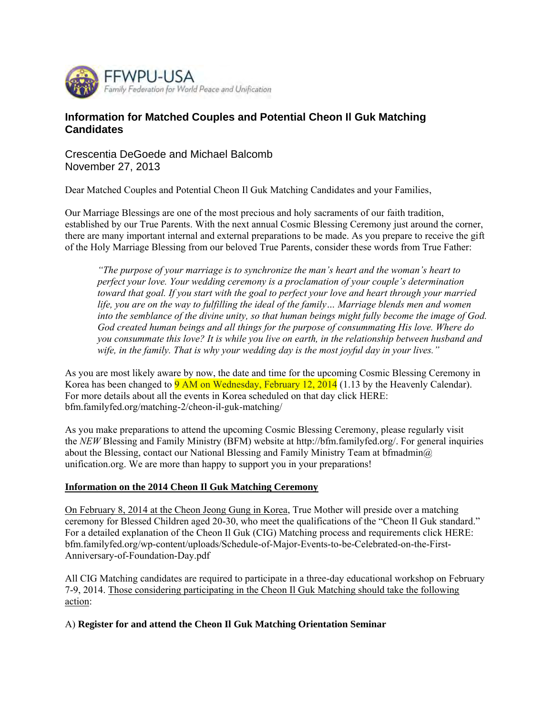

# **Information for Matched Couples and Potential Cheon Il Guk Matching Candidates**

Crescentia DeGoede and Michael Balcomb November 27, 2013

Dear Matched Couples and Potential Cheon Il Guk Matching Candidates and your Families,

Our Marriage Blessings are one of the most precious and holy sacraments of our faith tradition, established by our True Parents. With the next annual Cosmic Blessing Ceremony just around the corner, there are many important internal and external preparations to be made. As you prepare to receive the gift of the Holy Marriage Blessing from our beloved True Parents, consider these words from True Father:

*"The purpose of your marriage is to synchronize the man's heart and the woman's heart to perfect your love. Your wedding ceremony is a proclamation of your couple's determination toward that goal. If you start with the goal to perfect your love and heart through your married*  life, you are on the way to fulfilling the ideal of the family... Marriage blends men and women *into the semblance of the divine unity, so that human beings might fully become the image of God. God created human beings and all things for the purpose of consummating His love. Where do you consummate this love? It is while you live on earth, in the relationship between husband and wife, in the family. That is why your wedding day is the most joyful day in your lives."*

As you are most likely aware by now, the date and time for the upcoming Cosmic Blessing Ceremony in Korea has been changed to 9 AM on Wednesday, February 12, 2014 (1.13 by the Heavenly Calendar). For more details about all the events in Korea scheduled on that day click HERE: bfm.familyfed.org/matching-2/cheon-il-guk-matching/

As you make preparations to attend the upcoming Cosmic Blessing Ceremony, please regularly visit the *NEW* Blessing and Family Ministry (BFM) website at http://bfm.familyfed.org/. For general inquiries about the Blessing, contact our National Blessing and Family Ministry Team at bfmadmin $\omega$ unification.org. We are more than happy to support you in your preparations!

## **Information on the 2014 Cheon Il Guk Matching Ceremony**

On February 8, 2014 at the Cheon Jeong Gung in Korea, True Mother will preside over a matching ceremony for Blessed Children aged 20-30, who meet the qualifications of the "Cheon Il Guk standard." For a detailed explanation of the Cheon Il Guk (CIG) Matching process and requirements click HERE: bfm.familyfed.org/wp-content/uploads/Schedule-of-Major-Events-to-be-Celebrated-on-the-First-Anniversary-of-Foundation-Day.pdf

All CIG Matching candidates are required to participate in a three-day educational workshop on February 7-9, 2014. Those considering participating in the Cheon Il Guk Matching should take the following action:

A) **Register for and attend the Cheon Il Guk Matching Orientation Seminar**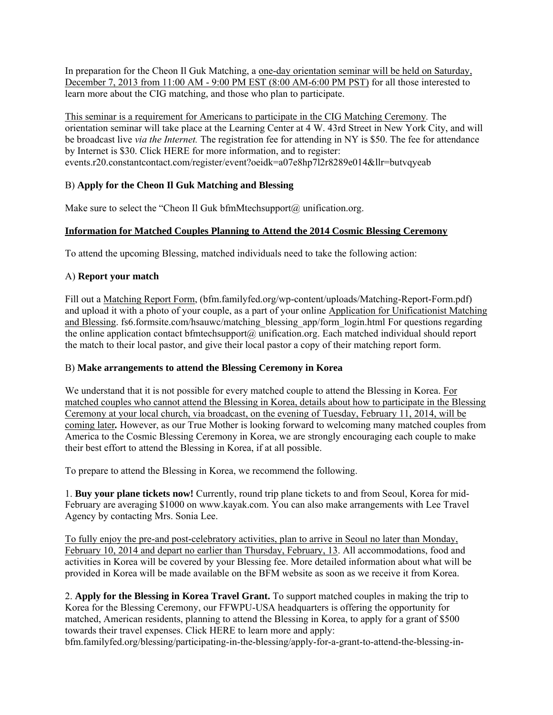In preparation for the Cheon Il Guk Matching, a one-day orientation seminar will be held on Saturday, December 7, 2013 from 11:00 AM - 9:00 PM EST (8:00 AM-6:00 PM PST) for all those interested to learn more about the CIG matching, and those who plan to participate.

This seminar is a requirement for Americans to participate in the CIG Matching Ceremony*.* The orientation seminar will take place at the Learning Center at 4 W. 43rd Street in New York City, and will be broadcast live *via the Internet.* The registration fee for attending in NY is \$50. The fee for attendance by Internet is \$30. Click HERE for more information, and to register: events.r20.constantcontact.com/register/event?oeidk=a07e8hp7l2r8289e014&llr=butvqyeab

## B) **Apply for the Cheon Il Guk Matching and Blessing**

Make sure to select the "Cheon Il Guk bfmMtechsupport@ unification.org.

## **Information for Matched Couples Planning to Attend the 2014 Cosmic Blessing Ceremony**

To attend the upcoming Blessing, matched individuals need to take the following action:

#### A) **Report your match**

Fill out a Matching Report Form, (bfm.familyfed.org/wp-content/uploads/Matching-Report-Form.pdf) and upload it with a photo of your couple, as a part of your online Application for Unificationist Matching and Blessing. fs6.formsite.com/hsauwc/matching\_blessing\_app/form\_login.html For questions regarding the online application contact bfmtechsupport@ unification.org. Each matched individual should report the match to their local pastor, and give their local pastor a copy of their matching report form.

## B) **Make arrangements to attend the Blessing Ceremony in Korea**

We understand that it is not possible for every matched couple to attend the Blessing in Korea. For matched couples who cannot attend the Blessing in Korea, details about how to participate in the Blessing Ceremony at your local church, via broadcast, on the evening of Tuesday, February 11, 2014, will be coming later*.* However, as our True Mother is looking forward to welcoming many matched couples from America to the Cosmic Blessing Ceremony in Korea, we are strongly encouraging each couple to make their best effort to attend the Blessing in Korea, if at all possible.

To prepare to attend the Blessing in Korea, we recommend the following.

1. **Buy your plane tickets now!** Currently, round trip plane tickets to and from Seoul, Korea for mid-February are averaging \$1000 on www.kayak.com. You can also make arrangements with Lee Travel Agency by contacting Mrs. Sonia Lee.

To fully enjoy the pre-and post-celebratory activities, plan to arrive in Seoul no later than Monday, February 10, 2014 and depart no earlier than Thursday, February, 13. All accommodations, food and activities in Korea will be covered by your Blessing fee. More detailed information about what will be provided in Korea will be made available on the BFM website as soon as we receive it from Korea.

2. **Apply for the Blessing in Korea Travel Grant.** To support matched couples in making the trip to Korea for the Blessing Ceremony, our FFWPU-USA headquarters is offering the opportunity for matched, American residents, planning to attend the Blessing in Korea, to apply for a grant of \$500 towards their travel expenses. Click HERE to learn more and apply: bfm.familyfed.org/blessing/participating-in-the-blessing/apply-for-a-grant-to-attend-the-blessing-in